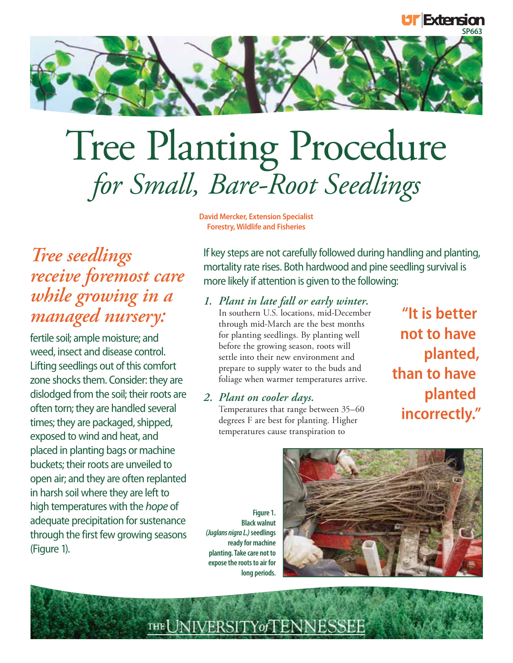

# Tree Planting Procedure *for Small, Bare-Root Seedlings*

**David Mercker, Extension Specialist Forestry, Wildlife and Fisheries**

# *Tree seedlings receive foremost care while growing in a managed nursery:*

fertile soil; ample moisture; and weed, insect and disease control. Lifting seedlings out of this comfort zone shocks them. Consider: they are dislodged from the soil; their roots are often torn; they are handled several times; they are packaged, shipped, exposed to wind and heat, and placed in planting bags or machine buckets; their roots are unveiled to open air; and they are often replanted in harsh soil where they are left to high temperatures with the hope of adequate precipitation for sustenance through the first few growing seasons (Figure 1).

If key steps are not carefully followed during handling and planting, mortality rate rises. Both hardwood and pine seedling survival is more likely if attention is given to the following:

*1. Plant in late fall or early winter.* In southern U.S. locations, mid-December through mid-March are the best months for planting seedlings. By planting well before the growing season, roots will settle into their new environment and prepare to supply water to the buds and foliage when warmer temperatures arrive.

# *2. Plant on cooler days.*

Temperatures that range between 35–60 degrees F are best for planting. Higher temperatures cause transpiration to

**"It is better not to have planted, than to have planted incorrectly."**

**EXtension** 

**Figure 1. Black walnut** *(Juglans nigra L.)* **seedlings ready for machine planting. Take care not to expose the roots to air for long periods.**

THE NIVERSITY of LENNESSEE

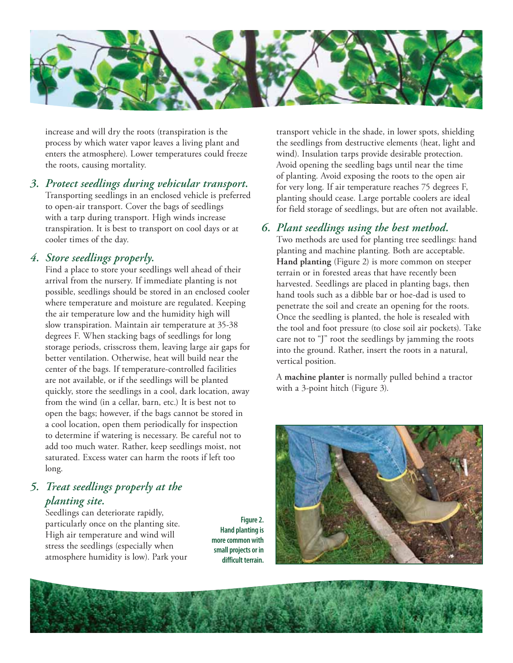

increase and will dry the roots (transpiration is the process by which water vapor leaves a living plant and enters the atmosphere). Lower temperatures could freeze the roots, causing mortality.

*3. Protect seedlings during vehicular transport.* Transporting seedlings in an enclosed vehicle is preferred to open-air transport. Cover the bags of seedlings with a tarp during transport. High winds increase transpiration. It is best to transport on cool days or at cooler times of the day.

#### *4. Store seedlings properly.*

Find a place to store your seedlings well ahead of their arrival from the nursery. If immediate planting is not possible, seedlings should be stored in an enclosed cooler where temperature and moisture are regulated. Keeping the air temperature low and the humidity high will slow transpiration. Maintain air temperature at 35-38 degrees F. When stacking bags of seedlings for long storage periods, crisscross them, leaving large air gaps for better ventilation. Otherwise, heat will build near the center of the bags. If temperature-controlled facilities are not available, or if the seedlings will be planted quickly, store the seedlings in a cool, dark location, away from the wind (in a cellar, barn, etc.) It is best not to open the bags; however, if the bags cannot be stored in a cool location, open them periodically for inspection to determine if watering is necessary. Be careful not to add too much water. Rather, keep seedlings moist, not saturated. Excess water can harm the roots if left too long.

# *5. Treat seedlings properly at the planting site.*

Seedlings can deteriorate rapidly, particularly once on the planting site. High air temperature and wind will stress the seedlings (especially when atmosphere humidity is low). Park your

**Figure 2. Hand planting is more common with small projects or in difficult terrain.**

transport vehicle in the shade, in lower spots, shielding the seedlings from destructive elements (heat, light and wind). Insulation tarps provide desirable protection. Avoid opening the seedling bags until near the time of planting. Avoid exposing the roots to the open air for very long. If air temperature reaches 75 degrees F, planting should cease. Large portable coolers are ideal for field storage of seedlings, but are often not available.

## *6. Plant seedlings using the best method.*

Two methods are used for planting tree seedlings: hand planting and machine planting. Both are acceptable. **Hand planting** (Figure 2) is more common on steeper terrain or in forested areas that have recently been harvested. Seedlings are placed in planting bags, then hand tools such as a dibble bar or hoe-dad is used to penetrate the soil and create an opening for the roots. Once the seedling is planted, the hole is resealed with the tool and foot pressure (to close soil air pockets). Take care not to "J" root the seedlings by jamming the roots into the ground. Rather, insert the roots in a natural, vertical position.

 A **machine planter** is normally pulled behind a tractor with a 3-point hitch (Figure 3).



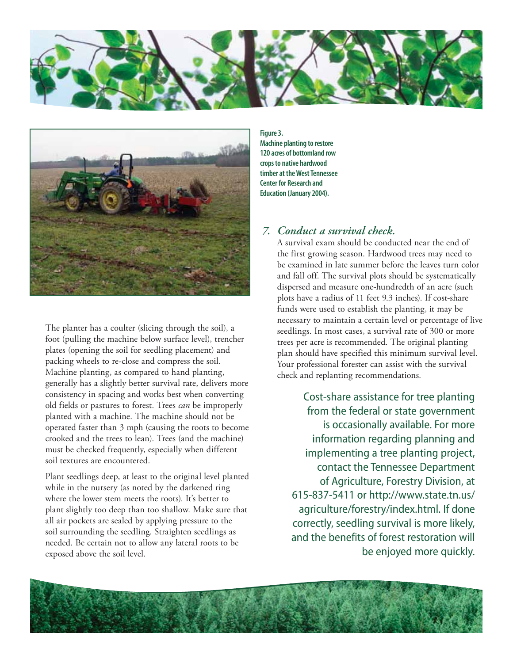



 The planter has a coulter (slicing through the soil), a foot (pulling the machine below surface level), trencher plates (opening the soil for seedling placement) and packing wheels to re-close and compress the soil. Machine planting, as compared to hand planting, generally has a slightly better survival rate, delivers more consistency in spacing and works best when converting old fields or pastures to forest. Trees *can* be improperly planted with a machine. The machine should not be operated faster than 3 mph (causing the roots to become crooked and the trees to lean). Trees (and the machine) must be checked frequently, especially when different soil textures are encountered.

 Plant seedlings deep, at least to the original level planted while in the nursery (as noted by the darkened ring where the lower stem meets the roots). It's better to plant slightly too deep than too shallow. Make sure that all air pockets are sealed by applying pressure to the soil surrounding the seedling. Straighten seedlings as needed. Be certain not to allow any lateral roots to be exposed above the soil level.

**Figure 3. Machine planting to restore 120 acres of bottomland row crops to native hardwood timber at the West Tennessee Center for Research and Education (January 2004).**

## *7. Conduct a survival check.*

A survival exam should be conducted near the end of the first growing season. Hardwood trees may need to be examined in late summer before the leaves turn color and fall off. The survival plots should be systematically dispersed and measure one-hundredth of an acre (such plots have a radius of 11 feet 9.3 inches). If cost-share funds were used to establish the planting, it may be necessary to maintain a certain level or percentage of live seedlings. In most cases, a survival rate of 300 or more trees per acre is recommended. The original planting plan should have specified this minimum survival level. Your professional forester can assist with the survival check and replanting recommendations.

Cost-share assistance for tree planting from the federal or state government is occasionally available. For more information regarding planning and implementing a tree planting project, contact the Tennessee Department of Agriculture, Forestry Division, at 615-837-5411 or http://www.state.tn.us/ agriculture/forestry/index.html. If done correctly, seedling survival is more likely, and the benefits of forest restoration will be enjoyed more quickly.